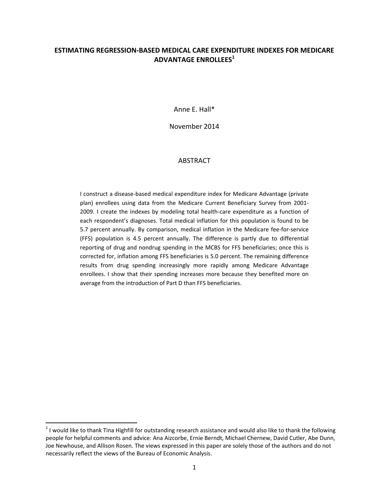### **ESTIMATING REGRESSION‐BASED MEDICAL CARE EXPENDITURE INDEXES FOR MEDICARE ADVANTAGE ENROLLEES<sup>1</sup>**

Anne E. Hall\*

November 2014

#### ABSTRACT

I construct a disease‐based medical expenditure index for Medicare Advantage (private plan) enrollees using data from the Medicare Current Beneficiary Survey from 2001‐ 2009. I create the indexes by modeling total health-care expenditure as a function of each respondent's diagnoses. Total medical inflation for this population is found to be 5.7 percent annually. By comparison, medical inflation in the Medicare fee-for-service (FFS) population is 4.5 percent annually. The difference is partly due to differential reporting of drug and nondrug spending in the MCBS for FFS beneficiaries; once this is corrected for, inflation among FFS beneficiaries is 5.0 percent. The remaining difference results from drug spending increasingly more rapidly among Medicare Advantage enrollees. I show that their spending increases more because they benefited more on average from the introduction of Part D than FFS beneficiaries.

 $1$  I would like to thank Tina Highfill for outstanding research assistance and would also like to thank the following people for helpful comments and advice: Ana Aizcorbe, Ernie Berndt, Michael Chernew, David Cutler, Abe Dunn, Joe Newhouse, and Allison Rosen. The views expressed in this paper are solely those of the authors and do not necessarily reflect the views of the Bureau of Economic Analysis.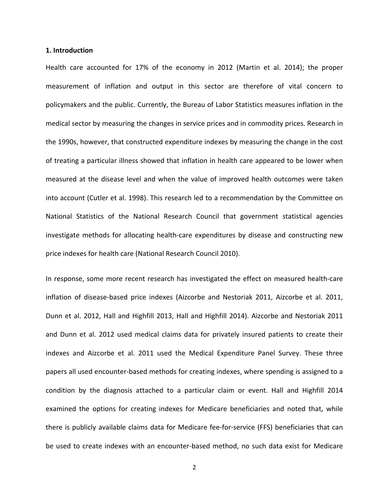#### **1. Introduction**

Health care accounted for 17% of the economy in 2012 (Martin et al. 2014); the proper measurement of inflation and output in this sector are therefore of vital concern to policymakers and the public. Currently, the Bureau of Labor Statistics measures inflation in the medical sector by measuring the changes in service prices and in commodity prices. Research in the 1990s, however, that constructed expenditure indexes by measuring the change in the cost of treating a particular illness showed that inflation in health care appeared to be lower when measured at the disease level and when the value of improved health outcomes were taken into account (Cutler et al. 1998). This research led to a recommendation by the Committee on National Statistics of the National Research Council that government statistical agencies investigate methods for allocating health‐care expenditures by disease and constructing new price indexes for health care (National Research Council 2010).

In response, some more recent research has investigated the effect on measured health‐care inflation of disease‐based price indexes (Aizcorbe and Nestoriak 2011, Aizcorbe et al. 2011, Dunn et al. 2012, Hall and Highfill 2013, Hall and Highfill 2014). Aizcorbe and Nestoriak 2011 and Dunn et al. 2012 used medical claims data for privately insured patients to create their indexes and Aizcorbe et al. 2011 used the Medical Expenditure Panel Survey. These three papers all used encounter‐based methods for creating indexes, where spending is assigned to a condition by the diagnosis attached to a particular claim or event. Hall and Highfill 2014 examined the options for creating indexes for Medicare beneficiaries and noted that, while there is publicly available claims data for Medicare fee‐for‐service (FFS) beneficiaries that can be used to create indexes with an encounter‐based method, no such data exist for Medicare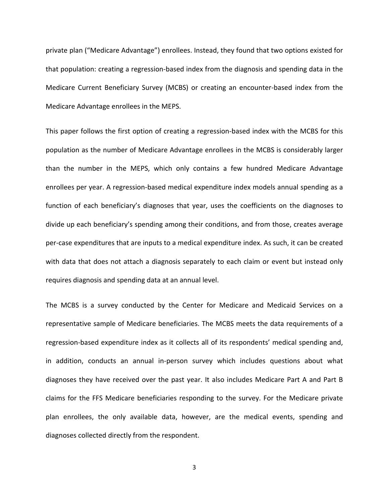private plan ("Medicare Advantage") enrollees. Instead, they found that two options existed for that population: creating a regression‐based index from the diagnosis and spending data in the Medicare Current Beneficiary Survey (MCBS) or creating an encounter‐based index from the Medicare Advantage enrollees in the MEPS.

This paper follows the first option of creating a regression‐based index with the MCBS for this population as the number of Medicare Advantage enrollees in the MCBS is considerably larger than the number in the MEPS, which only contains a few hundred Medicare Advantage enrollees per year. A regression‐based medical expenditure index models annual spending as a function of each beneficiary's diagnoses that year, uses the coefficients on the diagnoses to divide up each beneficiary's spending among their conditions, and from those, creates average per‐case expenditures that are inputs to a medical expenditure index. As such, it can be created with data that does not attach a diagnosis separately to each claim or event but instead only requires diagnosis and spending data at an annual level.

The MCBS is a survey conducted by the Center for Medicare and Medicaid Services on a representative sample of Medicare beneficiaries. The MCBS meets the data requirements of a regression‐based expenditure index as it collects all of its respondents' medical spending and, in addition, conducts an annual in‐person survey which includes questions about what diagnoses they have received over the past year. It also includes Medicare Part A and Part B claims for the FFS Medicare beneficiaries responding to the survey. For the Medicare private plan enrollees, the only available data, however, are the medical events, spending and diagnoses collected directly from the respondent.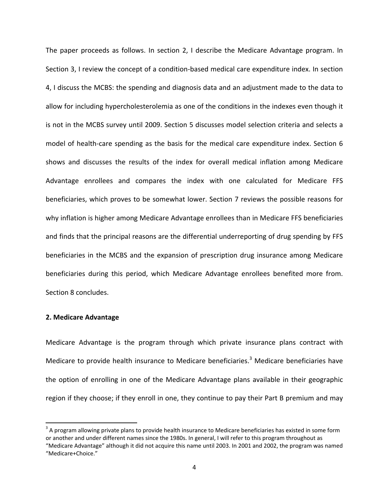The paper proceeds as follows. In section 2, I describe the Medicare Advantage program. In Section 3, I review the concept of a condition-based medical care expenditure index. In section 4, I discuss the MCBS: the spending and diagnosis data and an adjustment made to the data to allow for including hypercholesterolemia as one of the conditions in the indexes even though it is not in the MCBS survey until 2009. Section 5 discusses model selection criteria and selects a model of health-care spending as the basis for the medical care expenditure index. Section 6 shows and discusses the results of the index for overall medical inflation among Medicare Advantage enrollees and compares the index with one calculated for Medicare FFS beneficiaries, which proves to be somewhat lower. Section 7 reviews the possible reasons for why inflation is higher among Medicare Advantage enrollees than in Medicare FFS beneficiaries and finds that the principal reasons are the differential underreporting of drug spending by FFS beneficiaries in the MCBS and the expansion of prescription drug insurance among Medicare beneficiaries during this period, which Medicare Advantage enrollees benefited more from. Section 8 concludes.

#### **2. Medicare Advantage**

Medicare Advantage is the program through which private insurance plans contract with Medicare to provide health insurance to Medicare beneficiaries.<sup>3</sup> Medicare beneficiaries have the option of enrolling in one of the Medicare Advantage plans available in their geographic region if they choose; if they enroll in one, they continue to pay their Part B premium and may

 $3$  A program allowing private plans to provide health insurance to Medicare beneficiaries has existed in some form or another and under different names since the 1980s. In general, I will refer to this program throughout as "Medicare Advantage" although it did not acquire this name until 2003. In 2001 and 2002, the program was named

<sup>&</sup>quot;Medicare+Choice."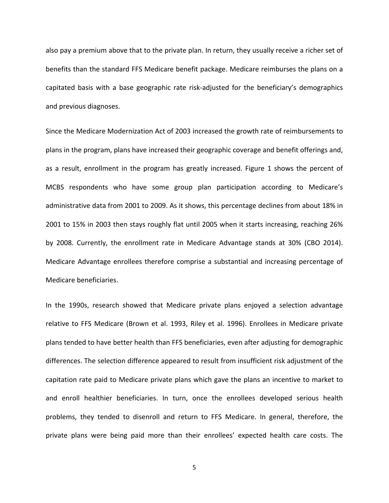also pay a premium above that to the private plan. In return, they usually receive a richer set of benefits than the standard FFS Medicare benefit package. Medicare reimburses the plans on a capitated basis with a base geographic rate risk‐adjusted for the beneficiary's demographics and previous diagnoses.

Since the Medicare Modernization Act of 2003 increased the growth rate of reimbursements to plans in the program, plans have increased their geographic coverage and benefit offerings and, as a result, enrollment in the program has greatly increased. Figure 1 shows the percent of MCBS respondents who have some group plan participation according to Medicare's administrative data from 2001 to 2009. As it shows, this percentage declines from about 18% in 2001 to 15% in 2003 then stays roughly flat until 2005 when it starts increasing, reaching 26% by 2008. Currently, the enrollment rate in Medicare Advantage stands at 30% (CBO 2014). Medicare Advantage enrollees therefore comprise a substantial and increasing percentage of Medicare beneficiaries.

In the 1990s, research showed that Medicare private plans enjoyed a selection advantage relative to FFS Medicare (Brown et al. 1993, Riley et al. 1996). Enrollees in Medicare private plans tended to have better health than FFS beneficiaries, even after adjusting for demographic differences. The selection difference appeared to result from insufficient risk adjustment of the capitation rate paid to Medicare private plans which gave the plans an incentive to market to and enroll healthier beneficiaries. In turn, once the enrollees developed serious health problems, they tended to disenroll and return to FFS Medicare. In general, therefore, the private plans were being paid more than their enrollees' expected health care costs. The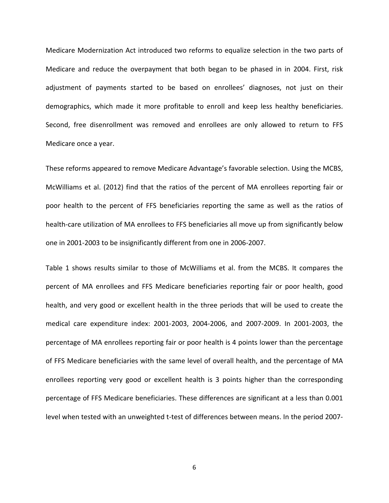Medicare Modernization Act introduced two reforms to equalize selection in the two parts of Medicare and reduce the overpayment that both began to be phased in in 2004. First, risk adjustment of payments started to be based on enrollees' diagnoses, not just on their demographics, which made it more profitable to enroll and keep less healthy beneficiaries. Second, free disenrollment was removed and enrollees are only allowed to return to FFS Medicare once a year.

These reforms appeared to remove Medicare Advantage's favorable selection. Using the MCBS, McWilliams et al. (2012) find that the ratios of the percent of MA enrollees reporting fair or poor health to the percent of FFS beneficiaries reporting the same as well as the ratios of health-care utilization of MA enrollees to FFS beneficiaries all move up from significantly below one in 2001‐2003 to be insignificantly different from one in 2006‐2007.

Table 1 shows results similar to those of McWilliams et al. from the MCBS. It compares the percent of MA enrollees and FFS Medicare beneficiaries reporting fair or poor health, good health, and very good or excellent health in the three periods that will be used to create the medical care expenditure index: 2001‐2003, 2004‐2006, and 2007‐2009. In 2001‐2003, the percentage of MA enrollees reporting fair or poor health is 4 points lower than the percentage of FFS Medicare beneficiaries with the same level of overall health, and the percentage of MA enrollees reporting very good or excellent health is 3 points higher than the corresponding percentage of FFS Medicare beneficiaries. These differences are significant at a less than 0.001 level when tested with an unweighted t-test of differences between means. In the period 2007-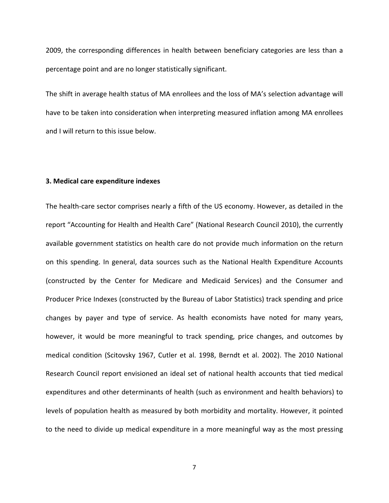2009, the corresponding differences in health between beneficiary categories are less than a percentage point and are no longer statistically significant.

The shift in average health status of MA enrollees and the loss of MA's selection advantage will have to be taken into consideration when interpreting measured inflation among MA enrollees and I will return to this issue below.

#### **3. Medical care expenditure indexes**

The health-care sector comprises nearly a fifth of the US economy. However, as detailed in the report "Accounting for Health and Health Care" (National Research Council 2010), the currently available government statistics on health care do not provide much information on the return on this spending. In general, data sources such as the National Health Expenditure Accounts (constructed by the Center for Medicare and Medicaid Services) and the Consumer and Producer Price Indexes (constructed by the Bureau of Labor Statistics) track spending and price changes by payer and type of service. As health economists have noted for many years, however, it would be more meaningful to track spending, price changes, and outcomes by medical condition (Scitovsky 1967, Cutler et al. 1998, Berndt et al. 2002). The 2010 National Research Council report envisioned an ideal set of national health accounts that tied medical expenditures and other determinants of health (such as environment and health behaviors) to levels of population health as measured by both morbidity and mortality. However, it pointed to the need to divide up medical expenditure in a more meaningful way as the most pressing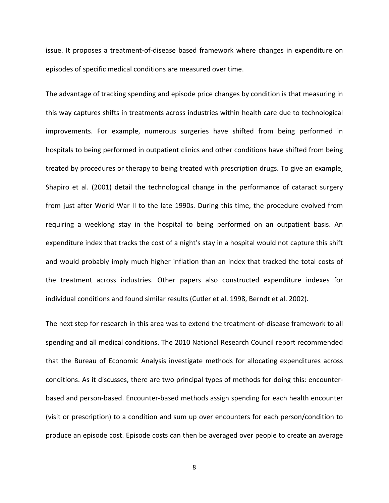issue. It proposes a treatment‐of‐disease based framework where changes in expenditure on episodes of specific medical conditions are measured over time.

The advantage of tracking spending and episode price changes by condition is that measuring in this way captures shifts in treatments across industries within health care due to technological improvements. For example, numerous surgeries have shifted from being performed in hospitals to being performed in outpatient clinics and other conditions have shifted from being treated by procedures or therapy to being treated with prescription drugs. To give an example, Shapiro et al. (2001) detail the technological change in the performance of cataract surgery from just after World War II to the late 1990s. During this time, the procedure evolved from requiring a weeklong stay in the hospital to being performed on an outpatient basis. An expenditure index that tracks the cost of a night's stay in a hospital would not capture this shift and would probably imply much higher inflation than an index that tracked the total costs of the treatment across industries. Other papers also constructed expenditure indexes for individual conditions and found similar results (Cutler et al. 1998, Berndt et al. 2002).

The next step for research in this area was to extend the treatment‐of‐disease framework to all spending and all medical conditions. The 2010 National Research Council report recommended that the Bureau of Economic Analysis investigate methods for allocating expenditures across conditions. As it discusses, there are two principal types of methods for doing this: encounter‐ based and person‐based. Encounter‐based methods assign spending for each health encounter (visit or prescription) to a condition and sum up over encounters for each person/condition to produce an episode cost. Episode costs can then be averaged over people to create an average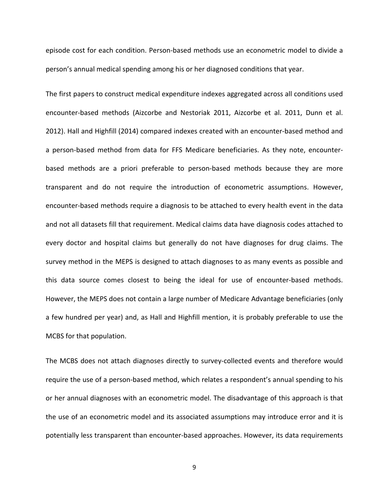episode cost for each condition. Person‐based methods use an econometric model to divide a person's annual medical spending among his or her diagnosed conditions that year.

The first papers to construct medical expenditure indexes aggregated across all conditions used encounter‐based methods (Aizcorbe and Nestoriak 2011, Aizcorbe et al. 2011, Dunn et al. 2012). Hall and Highfill (2014) compared indexes created with an encounter‐based method and a person‐based method from data for FFS Medicare beneficiaries. As they note, encounter‐ based methods are a priori preferable to person‐based methods because they are more transparent and do not require the introduction of econometric assumptions. However, encounter‐based methods require a diagnosis to be attached to every health event in the data and not all datasets fill that requirement. Medical claims data have diagnosis codes attached to every doctor and hospital claims but generally do not have diagnoses for drug claims. The survey method in the MEPS is designed to attach diagnoses to as many events as possible and this data source comes closest to being the ideal for use of encounter‐based methods. However, the MEPS does not contain a large number of Medicare Advantage beneficiaries (only a few hundred per year) and, as Hall and Highfill mention, it is probably preferable to use the MCBS for that population.

The MCBS does not attach diagnoses directly to survey‐collected events and therefore would require the use of a person‐based method, which relates a respondent's annual spending to his or her annual diagnoses with an econometric model. The disadvantage of this approach is that the use of an econometric model and its associated assumptions may introduce error and it is potentially less transparent than encounter‐based approaches. However, its data requirements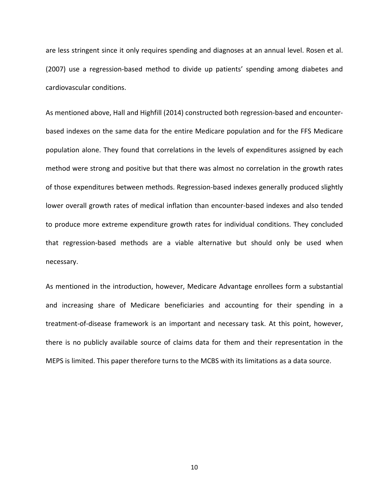are less stringent since it only requires spending and diagnoses at an annual level. Rosen et al. (2007) use a regression‐based method to divide up patients' spending among diabetes and cardiovascular conditions.

As mentioned above, Hall and Highfill (2014) constructed both regression-based and encounterbased indexes on the same data for the entire Medicare population and for the FFS Medicare population alone. They found that correlations in the levels of expenditures assigned by each method were strong and positive but that there was almost no correlation in the growth rates of those expenditures between methods. Regression‐based indexes generally produced slightly lower overall growth rates of medical inflation than encounter‐based indexes and also tended to produce more extreme expenditure growth rates for individual conditions. They concluded that regression‐based methods are a viable alternative but should only be used when necessary.

As mentioned in the introduction, however, Medicare Advantage enrollees form a substantial and increasing share of Medicare beneficiaries and accounting for their spending in a treatment‐of‐disease framework is an important and necessary task. At this point, however, there is no publicly available source of claims data for them and their representation in the MEPS is limited. This paper therefore turns to the MCBS with its limitations as a data source.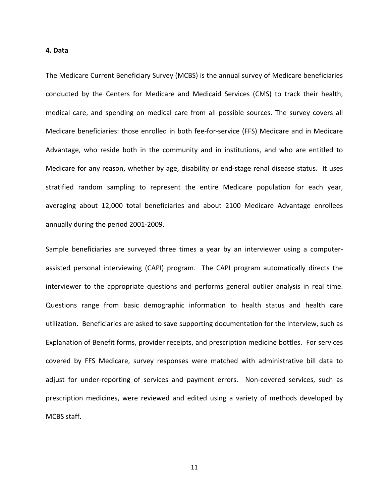#### **4. Data**

The Medicare Current Beneficiary Survey (MCBS) is the annual survey of Medicare beneficiaries conducted by the Centers for Medicare and Medicaid Services (CMS) to track their health, medical care, and spending on medical care from all possible sources. The survey covers all Medicare beneficiaries: those enrolled in both fee‐for‐service (FFS) Medicare and in Medicare Advantage, who reside both in the community and in institutions, and who are entitled to Medicare for any reason, whether by age, disability or end-stage renal disease status. It uses stratified random sampling to represent the entire Medicare population for each year, averaging about 12,000 total beneficiaries and about 2100 Medicare Advantage enrollees annually during the period 2001‐2009.

Sample beneficiaries are surveyed three times a year by an interviewer using a computer‐ assisted personal interviewing (CAPI) program. The CAPI program automatically directs the interviewer to the appropriate questions and performs general outlier analysis in real time. Questions range from basic demographic information to health status and health care utilization. Beneficiaries are asked to save supporting documentation for the interview, such as Explanation of Benefit forms, provider receipts, and prescription medicine bottles. For services covered by FFS Medicare, survey responses were matched with administrative bill data to adjust for under-reporting of services and payment errors. Non-covered services, such as prescription medicines, were reviewed and edited using a variety of methods developed by MCBS staff.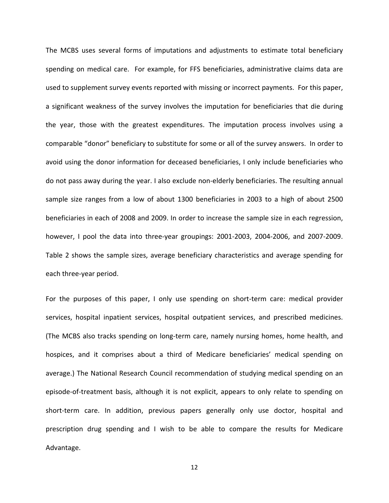The MCBS uses several forms of imputations and adjustments to estimate total beneficiary spending on medical care. For example, for FFS beneficiaries, administrative claims data are used to supplement survey events reported with missing or incorrect payments. For this paper, a significant weakness of the survey involves the imputation for beneficiaries that die during the year, those with the greatest expenditures. The imputation process involves using a comparable "donor" beneficiary to substitute for some or all of the survey answers. In order to avoid using the donor information for deceased beneficiaries, I only include beneficiaries who do not pass away during the year. I also exclude non‐elderly beneficiaries. The resulting annual sample size ranges from a low of about 1300 beneficiaries in 2003 to a high of about 2500 beneficiaries in each of 2008 and 2009. In order to increase the sample size in each regression, however, I pool the data into three‐year groupings: 2001‐2003, 2004‐2006, and 2007‐2009. Table 2 shows the sample sizes, average beneficiary characteristics and average spending for each three‐year period.

For the purposes of this paper, I only use spending on short-term care: medical provider services, hospital inpatient services, hospital outpatient services, and prescribed medicines. (The MCBS also tracks spending on long‐term care, namely nursing homes, home health, and hospices, and it comprises about a third of Medicare beneficiaries' medical spending on average.) The National Research Council recommendation of studying medical spending on an episode‐of‐treatment basis, although it is not explicit, appears to only relate to spending on short‐term care. In addition, previous papers generally only use doctor, hospital and prescription drug spending and I wish to be able to compare the results for Medicare Advantage.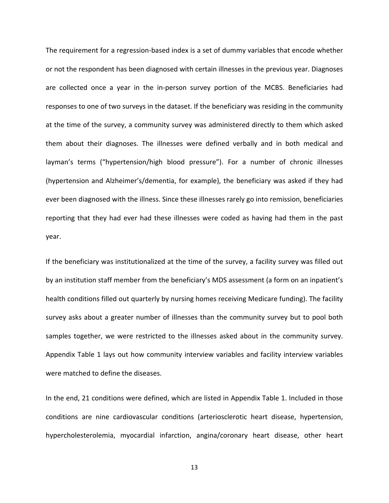The requirement for a regression‐based index is a set of dummy variables that encode whether or not the respondent has been diagnosed with certain illnesses in the previous year. Diagnoses are collected once a year in the in‐person survey portion of the MCBS. Beneficiaries had responses to one of two surveys in the dataset. If the beneficiary was residing in the community at the time of the survey, a community survey was administered directly to them which asked them about their diagnoses. The illnesses were defined verbally and in both medical and layman's terms ("hypertension/high blood pressure"). For a number of chronic illnesses (hypertension and Alzheimer's/dementia, for example), the beneficiary was asked if they had ever been diagnosed with the illness. Since these illnesses rarely go into remission, beneficiaries reporting that they had ever had these illnesses were coded as having had them in the past year.

If the beneficiary was institutionalized at the time of the survey, a facility survey was filled out by an institution staff member from the beneficiary's MDS assessment (a form on an inpatient's health conditions filled out quarterly by nursing homes receiving Medicare funding). The facility survey asks about a greater number of illnesses than the community survey but to pool both samples together, we were restricted to the illnesses asked about in the community survey. Appendix Table 1 lays out how community interview variables and facility interview variables were matched to define the diseases.

In the end, 21 conditions were defined, which are listed in Appendix Table 1. Included in those conditions are nine cardiovascular conditions (arteriosclerotic heart disease, hypertension, hypercholesterolemia, myocardial infarction, angina/coronary heart disease, other heart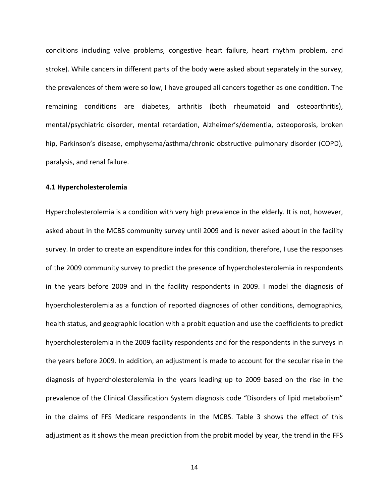conditions including valve problems, congestive heart failure, heart rhythm problem, and stroke). While cancers in different parts of the body were asked about separately in the survey, the prevalences of them were so low, I have grouped all cancers together as one condition. The remaining conditions are diabetes, arthritis (both rheumatoid and osteoarthritis), mental/psychiatric disorder, mental retardation, Alzheimer's/dementia, osteoporosis, broken hip, Parkinson's disease, emphysema/asthma/chronic obstructive pulmonary disorder (COPD), paralysis, and renal failure.

#### **4.1 Hypercholesterolemia**

Hypercholesterolemia is a condition with very high prevalence in the elderly. It is not, however, asked about in the MCBS community survey until 2009 and is never asked about in the facility survey. In order to create an expenditure index for this condition, therefore, I use the responses of the 2009 community survey to predict the presence of hypercholesterolemia in respondents in the years before 2009 and in the facility respondents in 2009. I model the diagnosis of hypercholesterolemia as a function of reported diagnoses of other conditions, demographics, health status, and geographic location with a probit equation and use the coefficients to predict hypercholesterolemia in the 2009 facility respondents and for the respondents in the surveys in the years before 2009. In addition, an adjustment is made to account for the secular rise in the diagnosis of hypercholesterolemia in the years leading up to 2009 based on the rise in the prevalence of the Clinical Classification System diagnosis code "Disorders of lipid metabolism" in the claims of FFS Medicare respondents in the MCBS. Table 3 shows the effect of this adjustment as it shows the mean prediction from the probit model by year, the trend in the FFS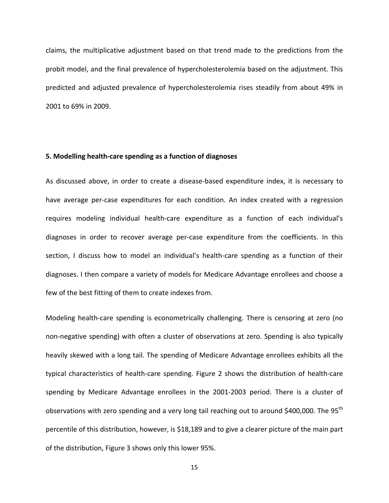claims, the multiplicative adjustment based on that trend made to the predictions from the probit model, and the final prevalence of hypercholesterolemia based on the adjustment. This predicted and adjusted prevalence of hypercholesterolemia rises steadily from about 49% in 2001 to 69% in 2009.

#### **5. Modelling health‐care spending as a function of diagnoses**

As discussed above, in order to create a disease‐based expenditure index, it is necessary to have average per-case expenditures for each condition. An index created with a regression requires modeling individual health‐care expenditure as a function of each individual's diagnoses in order to recover average per‐case expenditure from the coefficients. In this section, I discuss how to model an individual's health‐care spending as a function of their diagnoses. I then compare a variety of models for Medicare Advantage enrollees and choose a few of the best fitting of them to create indexes from.

Modeling health‐care spending is econometrically challenging. There is censoring at zero (no non‐negative spending) with often a cluster of observations at zero. Spending is also typically heavily skewed with a long tail. The spending of Medicare Advantage enrollees exhibits all the typical characteristics of health‐care spending. Figure 2 shows the distribution of health‐care spending by Medicare Advantage enrollees in the 2001‐2003 period. There is a cluster of observations with zero spending and a very long tail reaching out to around \$400,000. The 95<sup>th</sup> percentile of this distribution, however, is \$18,189 and to give a clearer picture of the main part of the distribution, Figure 3 shows only this lower 95%.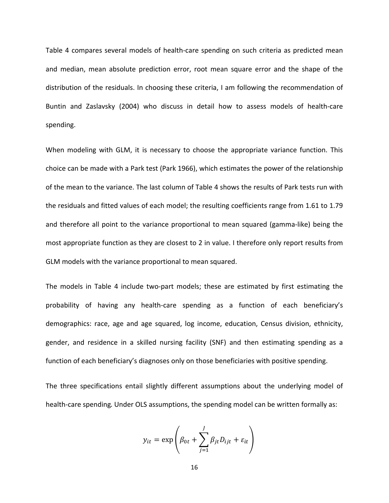Table 4 compares several models of health‐care spending on such criteria as predicted mean and median, mean absolute prediction error, root mean square error and the shape of the distribution of the residuals. In choosing these criteria, I am following the recommendation of Buntin and Zaslavsky (2004) who discuss in detail how to assess models of health‐care spending.

When modeling with GLM, it is necessary to choose the appropriate variance function. This choice can be made with a Park test (Park 1966), which estimates the power of the relationship of the mean to the variance. The last column of Table 4 shows the results of Park tests run with the residuals and fitted values of each model; the resulting coefficients range from 1.61 to 1.79 and therefore all point to the variance proportional to mean squared (gamma‐like) being the most appropriate function as they are closest to 2 in value. I therefore only report results from GLM models with the variance proportional to mean squared.

The models in Table 4 include two-part models; these are estimated by first estimating the probability of having any health‐care spending as a function of each beneficiary's demographics: race, age and age squared, log income, education, Census division, ethnicity, gender, and residence in a skilled nursing facility (SNF) and then estimating spending as a function of each beneficiary's diagnoses only on those beneficiaries with positive spending.

The three specifications entail slightly different assumptions about the underlying model of health-care spending. Under OLS assumptions, the spending model can be written formally as:

$$
y_{it} = \exp\left(\beta_{0t} + \sum_{j=1}^{J} \beta_{jt} D_{ijt} + \varepsilon_{it}\right)
$$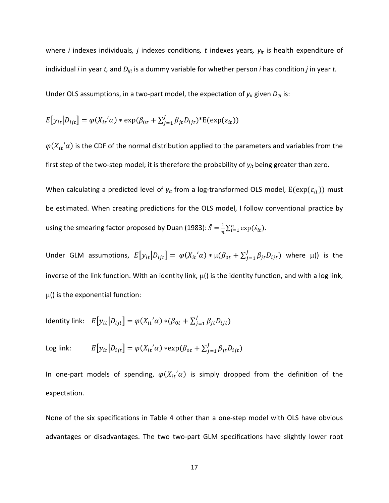where *i* indexes individuals*, j* indexes conditions*, t* indexes years*, yit* is health expenditure of individual *i* in year *t,* and *Dijt* is a dummy variable for whether person *i* has condition *j* in year *t.*

Under OLS assumptions, in a two‐part model, the expectation of *yit* given *Dijt* is:

$$
E[y_{it}|D_{ijt}] = \varphi(X_{it} \alpha) * \exp(\beta_{0t} + \sum_{j=1}^{J} \beta_{jt} D_{ijt}) * E(\exp(\varepsilon_{it}))
$$

 $\varphi(X_{it}^{\prime}\alpha)$  is the CDF of the normal distribution applied to the parameters and variables from the first step of the two‐step model; it is therefore the probability of *yit* being greater than zero.

When calculating a predicted level of  $y_{it}$  from a log-transformed OLS model,  $E(exp(\varepsilon_{it}))$  must be estimated. When creating predictions for the OLS model, I follow conventional practice by using the smearing factor proposed by Duan (1983):  $\hat{S} = \frac{1}{n} \sum_{i=1}^{n} \exp(\hat{\varepsilon}_{it}).$ 

Under GLM assumptions,  $E[y_{it}|D_{ijt}] = \varphi(X_{it}{}'a) * \mu(\beta_{0t} + \sum_{j=1}^{J}\beta_{jt}D_{ijt})$  where  $\mu$ () is the inverse of the link function. With an identity link,  $\mu$ () is the identity function, and with a log link,  $\mu$ () is the exponential function:

Identity link:  $E[y_{it} | D_{ijt}] = \varphi(X_{it}{}' \alpha) * (\beta_{0t} + \sum_{j=1}^{J} \beta_{jt} D_{ijt})$ 

Log link: 
$$
E[y_{it}|D_{ijt}] = \varphi(X_{it} \alpha) * \exp(\beta_{0t} + \sum_{j=1}^{J} \beta_{jt} D_{ijt})
$$

In one-part models of spending,  $\varphi(X_{it}^{\prime}\alpha)$  is simply dropped from the definition of the expectation.

None of the six specifications in Table 4 other than a one‐step model with OLS have obvious advantages or disadvantages. The two two-part GLM specifications have slightly lower root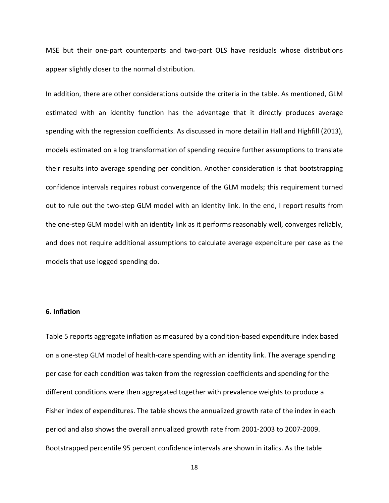MSE but their one‐part counterparts and two‐part OLS have residuals whose distributions appear slightly closer to the normal distribution.

In addition, there are other considerations outside the criteria in the table. As mentioned, GLM estimated with an identity function has the advantage that it directly produces average spending with the regression coefficients. As discussed in more detail in Hall and Highfill (2013), models estimated on a log transformation of spending require further assumptions to translate their results into average spending per condition. Another consideration is that bootstrapping confidence intervals requires robust convergence of the GLM models; this requirement turned out to rule out the two-step GLM model with an identity link. In the end, I report results from the one‐step GLM model with an identity link as it performs reasonably well, converges reliably, and does not require additional assumptions to calculate average expenditure per case as the models that use logged spending do.

#### **6. Inflation**

Table 5 reports aggregate inflation as measured by a condition‐based expenditure index based on a one‐step GLM model of health‐care spending with an identity link. The average spending per case for each condition was taken from the regression coefficients and spending for the different conditions were then aggregated together with prevalence weights to produce a Fisher index of expenditures. The table shows the annualized growth rate of the index in each period and also shows the overall annualized growth rate from 2001‐2003 to 2007‐2009. Bootstrapped percentile 95 percent confidence intervals are shown in italics. As the table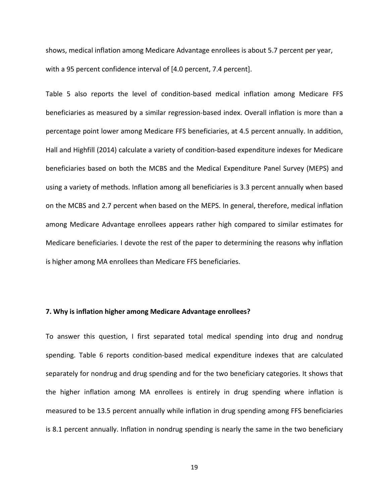shows, medical inflation among Medicare Advantage enrollees is about 5.7 percent per year, with a 95 percent confidence interval of [4.0 percent, 7.4 percent].

Table 5 also reports the level of condition‐based medical inflation among Medicare FFS beneficiaries as measured by a similar regression‐based index. Overall inflation is more than a percentage point lower among Medicare FFS beneficiaries, at 4.5 percent annually. In addition, Hall and Highfill (2014) calculate a variety of condition‐based expenditure indexes for Medicare beneficiaries based on both the MCBS and the Medical Expenditure Panel Survey (MEPS) and using a variety of methods. Inflation among all beneficiaries is 3.3 percent annually when based on the MCBS and 2.7 percent when based on the MEPS. In general, therefore, medical inflation among Medicare Advantage enrollees appears rather high compared to similar estimates for Medicare beneficiaries. I devote the rest of the paper to determining the reasons why inflation is higher among MA enrollees than Medicare FFS beneficiaries.

#### **7. Why is inflation higher among Medicare Advantage enrollees?**

To answer this question, I first separated total medical spending into drug and nondrug spending. Table 6 reports condition‐based medical expenditure indexes that are calculated separately for nondrug and drug spending and for the two beneficiary categories. It shows that the higher inflation among MA enrollees is entirely in drug spending where inflation is measured to be 13.5 percent annually while inflation in drug spending among FFS beneficiaries is 8.1 percent annually. Inflation in nondrug spending is nearly the same in the two beneficiary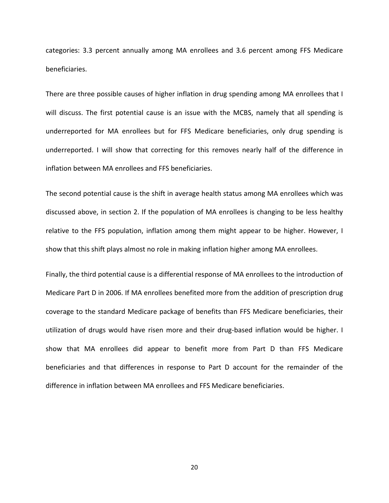categories: 3.3 percent annually among MA enrollees and 3.6 percent among FFS Medicare beneficiaries.

There are three possible causes of higher inflation in drug spending among MA enrollees that I will discuss. The first potential cause is an issue with the MCBS, namely that all spending is underreported for MA enrollees but for FFS Medicare beneficiaries, only drug spending is underreported. I will show that correcting for this removes nearly half of the difference in inflation between MA enrollees and FFS beneficiaries.

The second potential cause is the shift in average health status among MA enrollees which was discussed above, in section 2. If the population of MA enrollees is changing to be less healthy relative to the FFS population, inflation among them might appear to be higher. However, I show that this shift plays almost no role in making inflation higher among MA enrollees.

Finally, the third potential cause is a differential response of MA enrollees to the introduction of Medicare Part D in 2006. If MA enrollees benefited more from the addition of prescription drug coverage to the standard Medicare package of benefits than FFS Medicare beneficiaries, their utilization of drugs would have risen more and their drug‐based inflation would be higher. I show that MA enrollees did appear to benefit more from Part D than FFS Medicare beneficiaries and that differences in response to Part D account for the remainder of the difference in inflation between MA enrollees and FFS Medicare beneficiaries.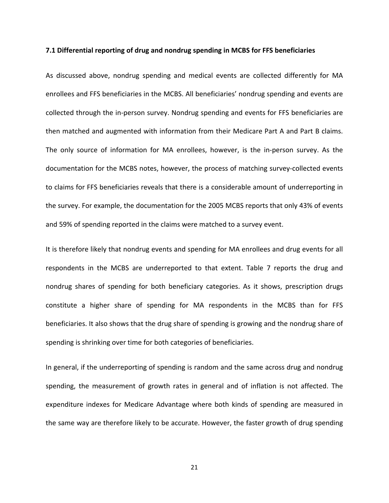#### **7.1 Differential reporting of drug and nondrug spending in MCBS for FFS beneficiaries**

As discussed above, nondrug spending and medical events are collected differently for MA enrollees and FFS beneficiaries in the MCBS. All beneficiaries' nondrug spending and events are collected through the in‐person survey. Nondrug spending and events for FFS beneficiaries are then matched and augmented with information from their Medicare Part A and Part B claims. The only source of information for MA enrollees, however, is the in‐person survey. As the documentation for the MCBS notes, however, the process of matching survey‐collected events to claims for FFS beneficiaries reveals that there is a considerable amount of underreporting in the survey. For example, the documentation for the 2005 MCBS reports that only 43% of events and 59% of spending reported in the claims were matched to a survey event.

It is therefore likely that nondrug events and spending for MA enrollees and drug events for all respondents in the MCBS are underreported to that extent. Table 7 reports the drug and nondrug shares of spending for both beneficiary categories. As it shows, prescription drugs constitute a higher share of spending for MA respondents in the MCBS than for FFS beneficiaries. It also shows that the drug share of spending is growing and the nondrug share of spending is shrinking over time for both categories of beneficiaries.

In general, if the underreporting of spending is random and the same across drug and nondrug spending, the measurement of growth rates in general and of inflation is not affected. The expenditure indexes for Medicare Advantage where both kinds of spending are measured in the same way are therefore likely to be accurate. However, the faster growth of drug spending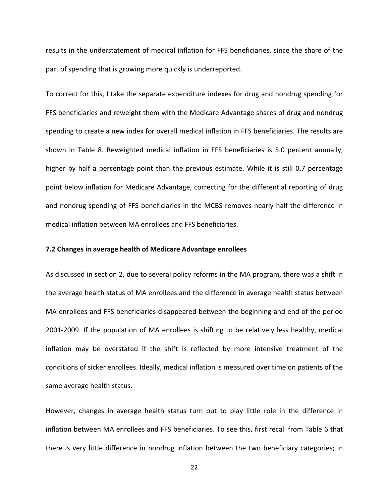results in the understatement of medical inflation for FFS beneficiaries, since the share of the part of spending that is growing more quickly is underreported.

To correct for this, I take the separate expenditure indexes for drug and nondrug spending for FFS beneficiaries and reweight them with the Medicare Advantage shares of drug and nondrug spending to create a new index for overall medical inflation in FFS beneficiaries. The results are shown in Table 8. Reweighted medical inflation in FFS beneficiaries is 5.0 percent annually, higher by half a percentage point than the previous estimate. While it is still 0.7 percentage point below inflation for Medicare Advantage, correcting for the differential reporting of drug and nondrug spending of FFS beneficiaries in the MCBS removes nearly half the difference in medical inflation between MA enrollees and FFS beneficiaries.

#### **7.2 Changes in average health of Medicare Advantage enrollees**

As discussed in section 2, due to several policy reforms in the MA program, there was a shift in the average health status of MA enrollees and the difference in average health status between MA enrollees and FFS beneficiaries disappeared between the beginning and end of the period 2001‐2009. If the population of MA enrollees is shifting to be relatively less healthy, medical inflation may be overstated if the shift is reflected by more intensive treatment of the conditions of sicker enrollees. Ideally, medical inflation is measured over time on patients of the same average health status.

However, changes in average health status turn out to play little role in the difference in inflation between MA enrollees and FFS beneficiaries. To see this, first recall from Table 6 that there is very little difference in nondrug inflation between the two beneficiary categories; in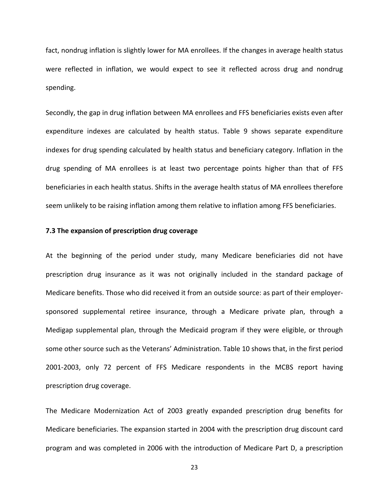fact, nondrug inflation is slightly lower for MA enrollees. If the changes in average health status were reflected in inflation, we would expect to see it reflected across drug and nondrug spending.

Secondly, the gap in drug inflation between MA enrollees and FFS beneficiaries exists even after expenditure indexes are calculated by health status. Table 9 shows separate expenditure indexes for drug spending calculated by health status and beneficiary category. Inflation in the drug spending of MA enrollees is at least two percentage points higher than that of FFS beneficiaries in each health status. Shifts in the average health status of MA enrollees therefore seem unlikely to be raising inflation among them relative to inflation among FFS beneficiaries.

#### **7.3 The expansion of prescription drug coverage**

At the beginning of the period under study, many Medicare beneficiaries did not have prescription drug insurance as it was not originally included in the standard package of Medicare benefits. Those who did received it from an outside source: as part of their employer‐ sponsored supplemental retiree insurance, through a Medicare private plan, through a Medigap supplemental plan, through the Medicaid program if they were eligible, or through some other source such as the Veterans' Administration. Table 10 shows that, in the first period 2001‐2003, only 72 percent of FFS Medicare respondents in the MCBS report having prescription drug coverage.

The Medicare Modernization Act of 2003 greatly expanded prescription drug benefits for Medicare beneficiaries. The expansion started in 2004 with the prescription drug discount card program and was completed in 2006 with the introduction of Medicare Part D, a prescription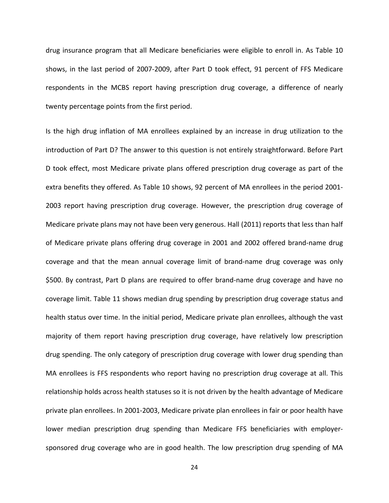drug insurance program that all Medicare beneficiaries were eligible to enroll in. As Table 10 shows, in the last period of 2007‐2009, after Part D took effect, 91 percent of FFS Medicare respondents in the MCBS report having prescription drug coverage, a difference of nearly twenty percentage points from the first period.

Is the high drug inflation of MA enrollees explained by an increase in drug utilization to the introduction of Part D? The answer to this question is not entirely straightforward. Before Part D took effect, most Medicare private plans offered prescription drug coverage as part of the extra benefits they offered. As Table 10 shows, 92 percent of MA enrollees in the period 2001‐ 2003 report having prescription drug coverage. However, the prescription drug coverage of Medicare private plans may not have been very generous. Hall (2011) reports that less than half of Medicare private plans offering drug coverage in 2001 and 2002 offered brand‐name drug coverage and that the mean annual coverage limit of brand‐name drug coverage was only \$500. By contrast, Part D plans are required to offer brand-name drug coverage and have no coverage limit. Table 11 shows median drug spending by prescription drug coverage status and health status over time. In the initial period, Medicare private plan enrollees, although the vast majority of them report having prescription drug coverage, have relatively low prescription drug spending. The only category of prescription drug coverage with lower drug spending than MA enrollees is FFS respondents who report having no prescription drug coverage at all. This relationship holds across health statuses so it is not driven by the health advantage of Medicare private plan enrollees. In 2001‐2003, Medicare private plan enrollees in fair or poor health have lower median prescription drug spending than Medicare FFS beneficiaries with employer‐ sponsored drug coverage who are in good health. The low prescription drug spending of MA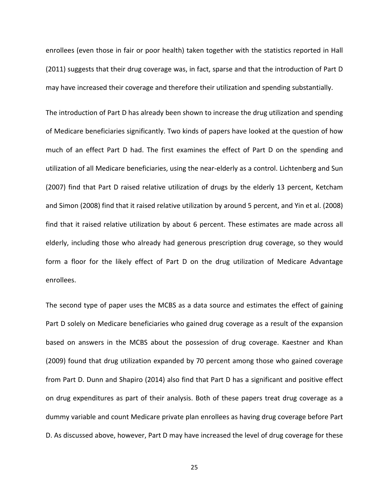enrollees (even those in fair or poor health) taken together with the statistics reported in Hall (2011) suggests that their drug coverage was, in fact, sparse and that the introduction of Part D may have increased their coverage and therefore their utilization and spending substantially.

The introduction of Part D has already been shown to increase the drug utilization and spending of Medicare beneficiaries significantly. Two kinds of papers have looked at the question of how much of an effect Part D had. The first examines the effect of Part D on the spending and utilization of all Medicare beneficiaries, using the near‐elderly as a control. Lichtenberg and Sun (2007) find that Part D raised relative utilization of drugs by the elderly 13 percent, Ketcham and Simon (2008) find that it raised relative utilization by around 5 percent, and Yin et al. (2008) find that it raised relative utilization by about 6 percent. These estimates are made across all elderly, including those who already had generous prescription drug coverage, so they would form a floor for the likely effect of Part D on the drug utilization of Medicare Advantage enrollees.

The second type of paper uses the MCBS as a data source and estimates the effect of gaining Part D solely on Medicare beneficiaries who gained drug coverage as a result of the expansion based on answers in the MCBS about the possession of drug coverage. Kaestner and Khan (2009) found that drug utilization expanded by 70 percent among those who gained coverage from Part D. Dunn and Shapiro (2014) also find that Part D has a significant and positive effect on drug expenditures as part of their analysis. Both of these papers treat drug coverage as a dummy variable and count Medicare private plan enrollees as having drug coverage before Part D. As discussed above, however, Part D may have increased the level of drug coverage for these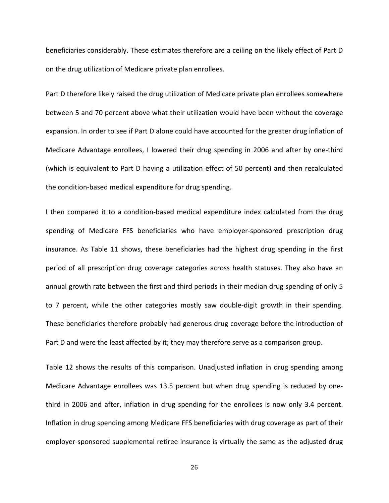beneficiaries considerably. These estimates therefore are a ceiling on the likely effect of Part D on the drug utilization of Medicare private plan enrollees.

Part D therefore likely raised the drug utilization of Medicare private plan enrollees somewhere between 5 and 70 percent above what their utilization would have been without the coverage expansion. In order to see if Part D alone could have accounted for the greater drug inflation of Medicare Advantage enrollees, I lowered their drug spending in 2006 and after by one-third (which is equivalent to Part D having a utilization effect of 50 percent) and then recalculated the condition‐based medical expenditure for drug spending.

I then compared it to a condition-based medical expenditure index calculated from the drug spending of Medicare FFS beneficiaries who have employer-sponsored prescription drug insurance. As Table 11 shows, these beneficiaries had the highest drug spending in the first period of all prescription drug coverage categories across health statuses. They also have an annual growth rate between the first and third periods in their median drug spending of only 5 to 7 percent, while the other categories mostly saw double‐digit growth in their spending. These beneficiaries therefore probably had generous drug coverage before the introduction of Part D and were the least affected by it; they may therefore serve as a comparison group.

Table 12 shows the results of this comparison. Unadjusted inflation in drug spending among Medicare Advantage enrollees was 13.5 percent but when drug spending is reduced by one‐ third in 2006 and after, inflation in drug spending for the enrollees is now only 3.4 percent. Inflation in drug spending among Medicare FFS beneficiaries with drug coverage as part of their employer-sponsored supplemental retiree insurance is virtually the same as the adjusted drug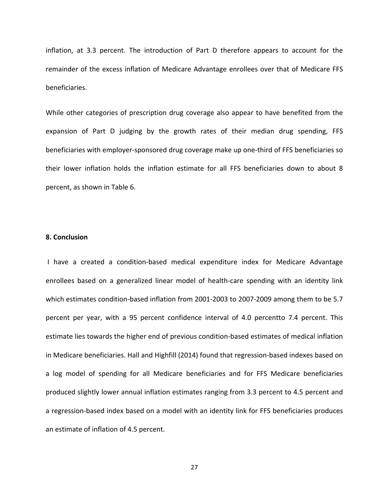inflation, at 3.3 percent. The introduction of Part D therefore appears to account for the remainder of the excess inflation of Medicare Advantage enrollees over that of Medicare FFS beneficiaries.

While other categories of prescription drug coverage also appear to have benefited from the expansion of Part D judging by the growth rates of their median drug spending, FFS beneficiaries with employer‐sponsored drug coverage make up one‐third of FFS beneficiaries so their lower inflation holds the inflation estimate for all FFS beneficiaries down to about 8 percent, as shown in Table 6.

#### **8. Conclusion**

I have a created a condition‐based medical expenditure index for Medicare Advantage enrollees based on a generalized linear model of health‐care spending with an identity link which estimates condition‐based inflation from 2001‐2003 to 2007‐2009 among them to be 5.7 percent per year, with a 95 percent confidence interval of 4.0 percentto 7.4 percent. This estimate lies towards the higher end of previous condition‐based estimates of medical inflation in Medicare beneficiaries. Hall and Highfill (2014) found that regression‐based indexes based on a log model of spending for all Medicare beneficiaries and for FFS Medicare beneficiaries produced slightly lower annual inflation estimates ranging from 3.3 percent to 4.5 percent and a regression‐based index based on a model with an identity link for FFS beneficiaries produces an estimate of inflation of 4.5 percent.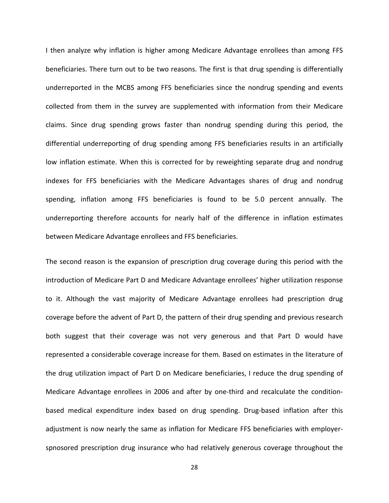I then analyze why inflation is higher among Medicare Advantage enrollees than among FFS beneficiaries. There turn out to be two reasons. The first is that drug spending is differentially underreported in the MCBS among FFS beneficiaries since the nondrug spending and events collected from them in the survey are supplemented with information from their Medicare claims. Since drug spending grows faster than nondrug spending during this period, the differential underreporting of drug spending among FFS beneficiaries results in an artificially low inflation estimate. When this is corrected for by reweighting separate drug and nondrug indexes for FFS beneficiaries with the Medicare Advantages shares of drug and nondrug spending, inflation among FFS beneficiaries is found to be 5.0 percent annually. The underreporting therefore accounts for nearly half of the difference in inflation estimates between Medicare Advantage enrollees and FFS beneficiaries.

The second reason is the expansion of prescription drug coverage during this period with the introduction of Medicare Part D and Medicare Advantage enrollees' higher utilization response to it. Although the vast majority of Medicare Advantage enrollees had prescription drug coverage before the advent of Part D, the pattern of their drug spending and previous research both suggest that their coverage was not very generous and that Part D would have represented a considerable coverage increase for them. Based on estimates in the literature of the drug utilization impact of Part D on Medicare beneficiaries, I reduce the drug spending of Medicare Advantage enrollees in 2006 and after by one-third and recalculate the conditionbased medical expenditure index based on drug spending. Drug‐based inflation after this adjustment is now nearly the same as inflation for Medicare FFS beneficiaries with employer‐ spnosored prescription drug insurance who had relatively generous coverage throughout the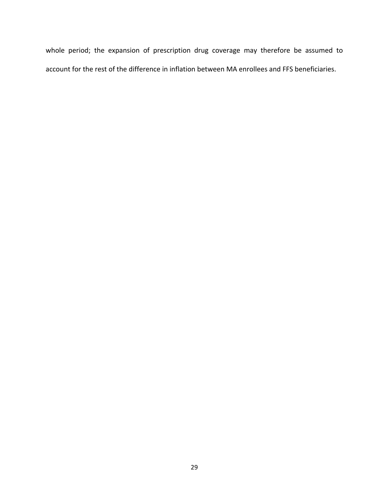whole period; the expansion of prescription drug coverage may therefore be assumed to account for the rest of the difference in inflation between MA enrollees and FFS beneficiaries.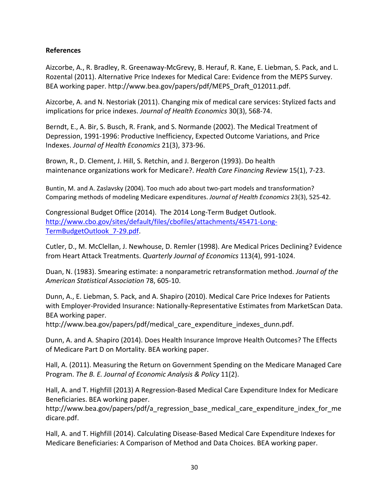## **References**

Aizcorbe, A., R. Bradley, R. Greenaway‐McGrevy, B. Herauf, R. Kane, E. Liebman, S. Pack, and L. Rozental (2011). Alternative Price Indexes for Medical Care: Evidence from the MEPS Survey. BEA working paper. http://www.bea.gov/papers/pdf/MEPS\_Draft\_012011.pdf.

Aizcorbe, A. and N. Nestoriak (2011). Changing mix of medical care services: Stylized facts and implications for price indexes. *Journal of Health Economics* 30(3), 568‐74.

Berndt, E., A. Bir, S. Busch, R. Frank, and S. Normande (2002). The Medical Treatment of Depression, 1991‐1996: Productive Inefficiency, Expected Outcome Variations, and Price Indexes. *Journal of Health Economics* 21(3), 373‐96.

Brown, R., D. Clement, J. Hill, S. Retchin, and J. Bergeron (1993). Do health maintenance organizations work for Medicare?. *Health Care Financing Review* 15(1), 7‐23.

Buntin, M. and A. Zaslavsky (2004). Too much ado about two-part models and transformation? Comparing methods of modeling Medicare expenditures. *Journal of Health Economics* 23(3), 525‐42.

Congressional Budget Office (2014). The 2014 Long‐Term Budget Outlook. http://www.cbo.gov/sites/default/files/cbofiles/attachments/45471‐Long‐ TermBudgetOutlook 7-29.pdf.

Cutler, D., M. McClellan, J. Newhouse, D. Remler (1998). Are Medical Prices Declining? Evidence from Heart Attack Treatments. *Quarterly Journal of Economics* 113(4), 991‐1024.

Duan, N. (1983). Smearing estimate: a nonparametric retransformation method. *Journal of the American Statistical Association* 78, 605‐10.

Dunn, A., E. Liebman, S. Pack, and A. Shapiro (2010). Medical Care Price Indexes for Patients with Employer‐Provided Insurance: Nationally‐Representative Estimates from MarketScan Data. BEA working paper.

http://www.bea.gov/papers/pdf/medical care expenditure indexes dunn.pdf.

Dunn, A. and A. Shapiro (2014). Does Health Insurance Improve Health Outcomes? The Effects of Medicare Part D on Mortality. BEA working paper.

Hall, A. (2011). Measuring the Return on Government Spending on the Medicare Managed Care Program. *The B. E. Journal of Economic Analysis & Policy* 11(2).

Hall, A. and T. Highfill (2013) A Regression‐Based Medical Care Expenditure Index for Medicare Beneficiaries. BEA working paper.

http://www.bea.gov/papers/pdf/a\_regression\_base\_medical\_care\_expenditure\_index\_for\_me dicare.pdf.

Hall, A. and T. Highfill (2014). Calculating Disease‐Based Medical Care Expenditure Indexes for Medicare Beneficiaries: A Comparison of Method and Data Choices. BEA working paper.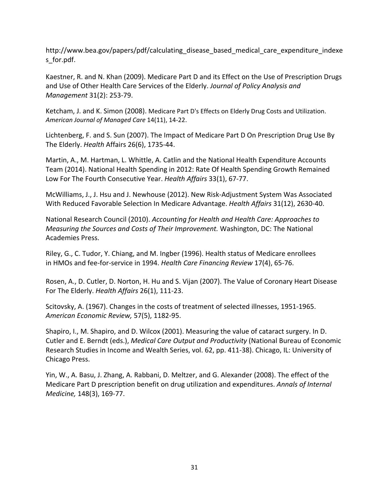http://www.bea.gov/papers/pdf/calculating disease based medical care expenditure indexe s\_for.pdf.

Kaestner, R. and N. Khan (2009). Medicare Part D and its Effect on the Use of Prescription Drugs and Use of Other Health Care Services of the Elderly. *Journal of Policy Analysis and Management* 31(2): 253‐79.

Ketcham, J. and K. Simon (2008). Medicare Part D's Effects on Elderly Drug Costs and Utilization. *American Journal of Managed Care* 14(11), 14‐22.

Lichtenberg, F. and S. Sun (2007). The Impact of Medicare Part D On Prescription Drug Use By The Elderly. *Health* Affairs 26(6), 1735‐44.

Martin, A., M. Hartman, L. Whittle, A. Catlin and the National Health Expenditure Accounts Team (2014). National Health Spending in 2012: Rate Of Health Spending Growth Remained Low For The Fourth Consecutive Year. *Health Affairs* 33(1), 67‐77.

McWilliams, J., J. Hsu and J. Newhouse (2012). New Risk‐Adjustment System Was Associated With Reduced Favorable Selection In Medicare Advantage. *Health Affairs* 31(12), 2630‐40.

National Research Council (2010). *Accounting for Health and Health Care: Approaches to Measuring the Sources and Costs of Their Improvement.* Washington, DC: The National Academies Press.

Riley, G., C. Tudor, Y. Chiang, and M. Ingber (1996). Health status of Medicare enrollees in HMOs and fee‐for‐service in 1994. *Health Care Financing Review* 17(4), 65‐76.

Rosen, A., D. Cutler, D. Norton, H. Hu and S. Vijan (2007). The Value of Coronary Heart Disease For The Elderly. *Health Affairs* 26(1), 111‐23.

Scitovsky, A. (1967). Changes in the costs of treatment of selected illnesses, 1951‐1965. *American Economic Review,* 57(5), 1182‐95.

Shapiro, I., M. Shapiro, and D. Wilcox (2001). Measuring the value of cataract surgery. In D. Cutler and E. Berndt (eds.), *Medical Care Output and Productivity* (National Bureau of Economic Research Studies in Income and Wealth Series, vol. 62, pp. 411‐38). Chicago, IL: University of Chicago Press.

Yin, W., A. Basu, J. Zhang, A. Rabbani, D. Meltzer, and G. Alexander (2008). The effect of the Medicare Part D prescription benefit on drug utilization and expenditures. *Annals of Internal Medicine,* 148(3), 169‐77.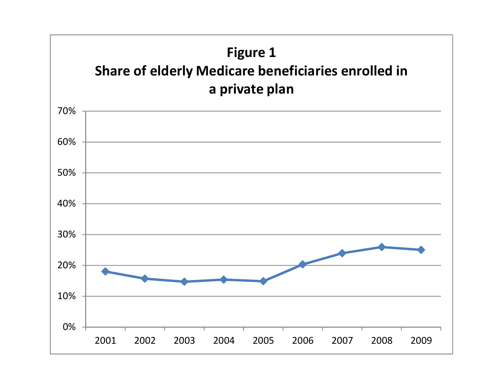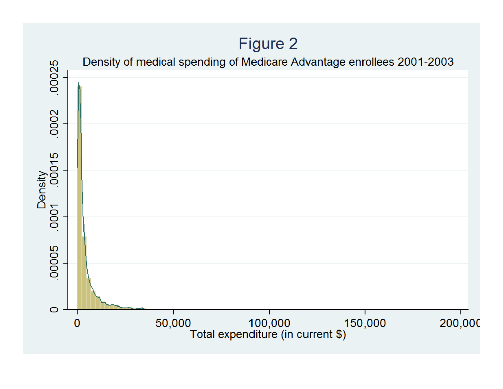# Figure 2 Density of medical spending of Medicare Advantage enrollees 2001-2003 .00025 .0002 Density<br>0001 .00015 .00005  $\circ$ 1<br>Total expenditure (in current \$) 50,000 150,000 200,000  $\overline{0}$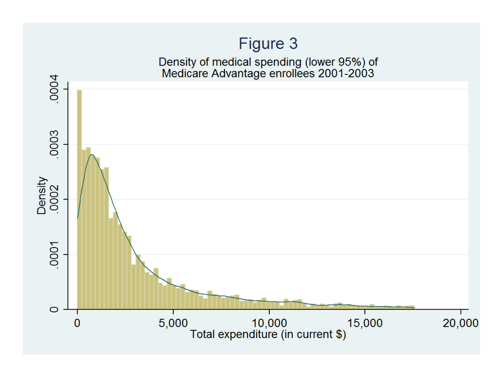# Figure 3

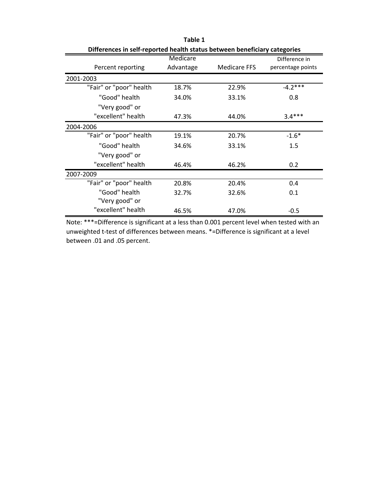| Differences in self-reported health status between beneficiary categories |           |                     |                   |
|---------------------------------------------------------------------------|-----------|---------------------|-------------------|
|                                                                           | Medicare  |                     | Difference in     |
| Percent reporting                                                         | Advantage | <b>Medicare FFS</b> | percentage points |
| 2001-2003                                                                 |           |                     |                   |
| "Fair" or "poor" health                                                   | 18.7%     | 22.9%               | $-4.2***$         |
| "Good" health                                                             | 34.0%     | 33.1%               | 0.8               |
| "Very good" or                                                            |           |                     |                   |
| "excellent" health                                                        | 47.3%     | 44.0%               | $3.4***$          |
| 2004-2006                                                                 |           |                     |                   |
| "Fair" or "poor" health                                                   | 19.1%     | 20.7%               | $-1.6*$           |
| "Good" health                                                             | 34.6%     | 33.1%               | 1.5               |
| "Very good" or                                                            |           |                     |                   |
| "excellent" health                                                        | 46.4%     | 46.2%               | 0.2 <sub>0</sub>  |
| 2007-2009                                                                 |           |                     |                   |
| "Fair" or "poor" health                                                   | 20.8%     | 20.4%               | 0.4               |
| "Good" health                                                             | 32.7%     | 32.6%               | 0.1               |
| "Very good" or                                                            |           |                     |                   |
| "excellent" health                                                        | 46.5%     | 47.0%               | $-0.5$            |

**Table 1**

Note: \*\*\*=Difference is significant at a less than 0.001 percent level when tested with an unweighted t-test of differences between means. \*=Difference is significant at a level between .01 and .05 percent.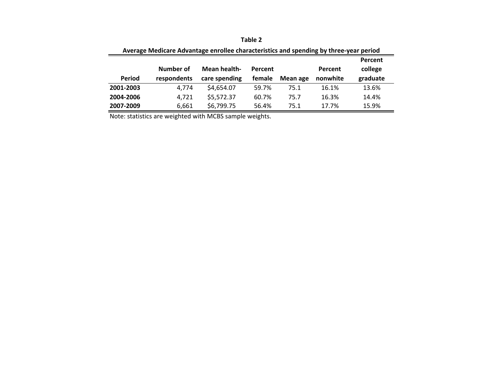| Average Medicare Advantage enrollee characteristics and spending by three-year period |             |                     |         |          |          |          |
|---------------------------------------------------------------------------------------|-------------|---------------------|---------|----------|----------|----------|
|                                                                                       |             |                     |         |          |          | Percent  |
|                                                                                       | Number of   | <b>Mean health-</b> | Percent |          | Percent  | college  |
| Period                                                                                | respondents | care spending       | female  | Mean age | nonwhite | graduate |
| 2001-2003                                                                             | 4.774       | \$4,654.07          | 59.7%   | 75.1     | 16.1%    | 13.6%    |
| 2004-2006                                                                             | 4,721       | \$5,572.37          | 60.7%   | 75.7     | 16.3%    | 14.4%    |
| 2007-2009                                                                             | 6,661       | \$6,799.75          | 56.4%   | 75.1     | 17.7%    | 15.9%    |

| Table 2 |
|---------|
|         |

Note: statistics are weighted with MCBS sample weights.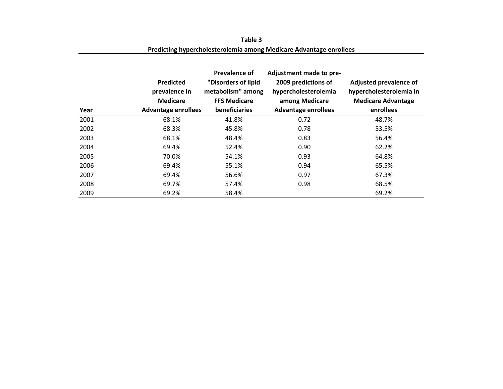| Year | <b>Predicted</b><br>prevalence in<br><b>Medicare</b><br><b>Advantage enrollees</b> | Prevalence of<br>"Disorders of lipid<br>metabolism" among<br><b>FFS Medicare</b><br><b>beneficiaries</b> | Adjustment made to pre-<br>2009 predictions of<br>hypercholesterolemia<br>among Medicare<br><b>Advantage enrollees</b> | Adjusted prevalence of<br>hypercholesterolemia in<br><b>Medicare Advantage</b><br>enrollees |
|------|------------------------------------------------------------------------------------|----------------------------------------------------------------------------------------------------------|------------------------------------------------------------------------------------------------------------------------|---------------------------------------------------------------------------------------------|
| 2001 | 68.1%                                                                              | 41.8%                                                                                                    | 0.72                                                                                                                   | 48.7%                                                                                       |
| 2002 | 68.3%                                                                              | 45.8%                                                                                                    | 0.78                                                                                                                   | 53.5%                                                                                       |
| 2003 | 68.1%                                                                              | 48.4%                                                                                                    | 0.83                                                                                                                   | 56.4%                                                                                       |
| 2004 | 69.4%                                                                              | 52.4%                                                                                                    | 0.90                                                                                                                   | 62.2%                                                                                       |
| 2005 | 70.0%                                                                              | 54.1%                                                                                                    | 0.93                                                                                                                   | 64.8%                                                                                       |
| 2006 | 69.4%                                                                              | 55.1%                                                                                                    | 0.94                                                                                                                   | 65.5%                                                                                       |
| 2007 | 69.4%                                                                              | 56.6%                                                                                                    | 0.97                                                                                                                   | 67.3%                                                                                       |
| 2008 | 69.7%                                                                              | 57.4%                                                                                                    | 0.98                                                                                                                   | 68.5%                                                                                       |
| 2009 | 69.2%                                                                              | 58.4%                                                                                                    |                                                                                                                        | 69.2%                                                                                       |

**Predicting hypercholesterolemia among Medicare Advantage enrollees Table 3**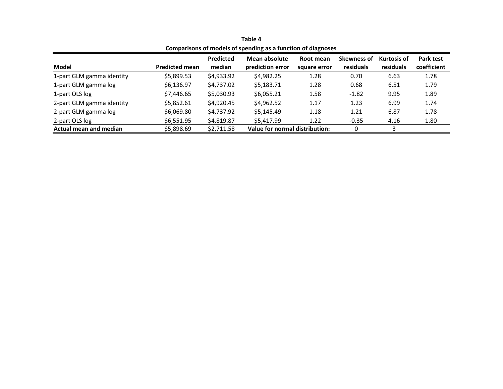|                           |                       |                  | Companisons of models of spending as a function of diagnoses |              |                    |             |             |
|---------------------------|-----------------------|------------------|--------------------------------------------------------------|--------------|--------------------|-------------|-------------|
|                           |                       | <b>Predicted</b> | Mean absolute                                                | Root mean    | <b>Skewness of</b> | Kurtosis of | Park test   |
| Model                     | <b>Predicted mean</b> | median           | prediction error                                             | square error | residuals          | residuals   | coefficient |
| 1-part GLM gamma identity | \$5,899.53            | \$4,933.92       | \$4,982.25                                                   | 1.28         | 0.70               | 6.63        | 1.78        |
| 1-part GLM gamma log      | \$6,136.97            | \$4,737.02       | \$5,183.71                                                   | 1.28         | 0.68               | 6.51        | 1.79        |
| 1-part OLS log            | \$7,446.65            | \$5,030.93       | \$6,055.21                                                   | 1.58         | $-1.82$            | 9.95        | 1.89        |
| 2-part GLM gamma identity | \$5,852.61            | \$4,920.45       | \$4,962.52                                                   | 1.17         | 1.23               | 6.99        | 1.74        |
| 2-part GLM gamma log      | \$6,069.80            | \$4,737.92       | \$5,145.49                                                   | 1.18         | 1.21               | 6.87        | 1.78        |
| 2-part OLS log            | \$6,551.95            | \$4,819.87       | \$5.417.99                                                   | 1.22         | $-0.35$            | 4.16        | 1.80        |
| Actual mean and median    | \$5,898.69            | \$2,711.58       | Value for normal distribution:                               |              |                    |             |             |

**Table 4 Comparisons of models of spending as <sup>a</sup> function of diagnoses**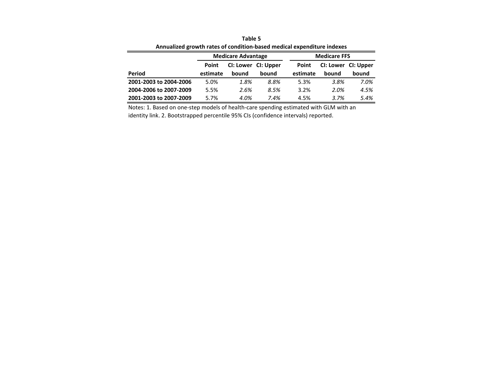|                        |          | <b>Medicare Advantage</b> |       |          | <b>Medicare FFS</b> |       |
|------------------------|----------|---------------------------|-------|----------|---------------------|-------|
|                        | Point    | CI: Lower CI: Upper       |       | Point    | CI: Lower CI: Upper |       |
| Period                 | estimate | bound                     | bound | estimate | bound               | bound |
| 2001-2003 to 2004-2006 | 5.0%     | 1.8%                      | 8.8%  | 5.3%     | 3.8%                | 7.0%  |
| 2004-2006 to 2007-2009 | 5.5%     | 2.6%                      | 8.5%  | 3.2%     | 2.0%                | 4.5%  |
| 2001-2003 to 2007-2009 | 5.7%     | 4.0%                      | 7.4%  | 4.5%     | 3.7%                | 5.4%  |

**Annualized growth rates of condition‐based medical expenditure indexes Table 5**

Notes: 1. Based on one‐step models of health‐care spending estimated with GLM with an identity link. 2. Bootstrapped percentile 95% CIs (confidence intervals) reported.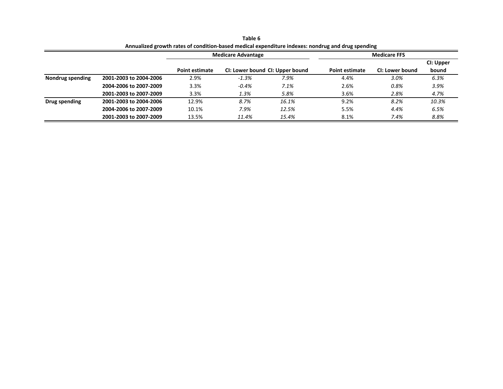|                  | Pullivalized Stower rates of condition based includer experience indexes; honding and drug spending |                       |                           |                                 |                       |                     |           |
|------------------|-----------------------------------------------------------------------------------------------------|-----------------------|---------------------------|---------------------------------|-----------------------|---------------------|-----------|
|                  |                                                                                                     |                       | <b>Medicare Advantage</b> |                                 |                       | <b>Medicare FFS</b> |           |
|                  |                                                                                                     |                       |                           |                                 |                       |                     | CI: Upper |
|                  |                                                                                                     | <b>Point estimate</b> |                           | CI: Lower bound CI: Upper bound | <b>Point estimate</b> | CI: Lower bound     | bound     |
| Nondrug spending | 2001-2003 to 2004-2006                                                                              | 2.9%                  | $-1.3%$                   | 7.9%                            | 4.4%                  | 3.0%                | 6.3%      |
|                  | 2004-2006 to 2007-2009                                                                              | 3.3%                  | $-0.4%$                   | 7.1%                            | 2.6%                  | 0.8%                | 3.9%      |
|                  | 2001-2003 to 2007-2009                                                                              | 3.3%                  | 1.3%                      | 5.8%                            | 3.6%                  | 2.8%                | 4.7%      |
| Drug spending    | 2001-2003 to 2004-2006                                                                              | 12.9%                 | 8.7%                      | 16.1%                           | 9.2%                  | 8.2%                | 10.3%     |
|                  | 2004-2006 to 2007-2009                                                                              | 10.1%                 | 7.9%                      | 12.5%                           | 5.5%                  | 4.4%                | 6.5%      |
|                  | 2001-2003 to 2007-2009                                                                              | 13.5%                 | 11.4%                     | 15.4%                           | 8.1%                  | 7.4%                | 8.8%      |

**Table 6Annualized growth rates of condition‐based medical expenditure indexes: nondrug and drug spending**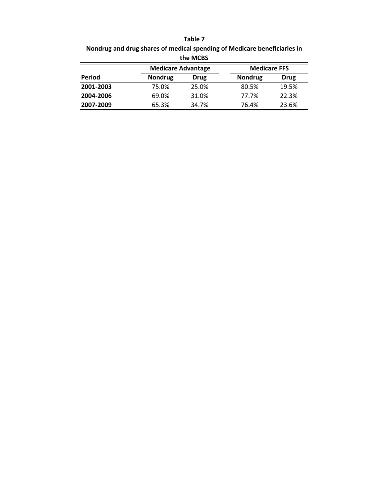**Table 7**

**Nondrug and drug shares of medical spending of Medicare beneficiaries in the MCBS**

|           | <b>Medicare Advantage</b> |       | <b>Medicare FFS</b> |             |
|-----------|---------------------------|-------|---------------------|-------------|
| Period    | <b>Nondrug</b>            | Drug  | <b>Nondrug</b>      | <b>Drug</b> |
| 2001-2003 | 75.0%                     | 25.0% | 80.5%               | 19.5%       |
| 2004-2006 | 69.0%                     | 31.0% | 77.7%               | 22.3%       |
| 2007-2009 | 65.3%                     | 34.7% | 76.4%               | 23.6%       |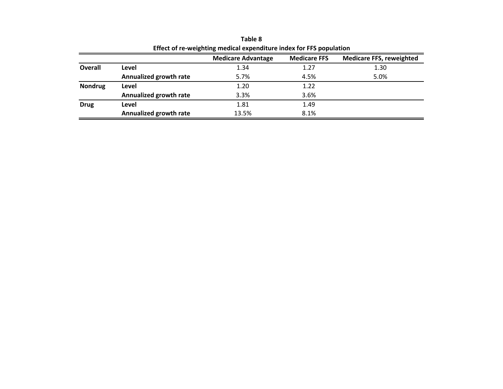|                |                        | <b>Medicare Advantage</b> | <b>Medicare FFS</b> | <b>Medicare FFS, reweighted</b> |
|----------------|------------------------|---------------------------|---------------------|---------------------------------|
| Overall        | Level                  | 1.34                      | 1.27                | 1.30                            |
|                | Annualized growth rate | 5.7%                      | 4.5%                | 5.0%                            |
| <b>Nondrug</b> | Level                  | 1.20                      | 1.22                |                                 |
|                | Annualized growth rate | 3.3%                      | 3.6%                |                                 |
| <b>Drug</b>    | Level                  | 1.81                      | 1.49                |                                 |
|                | Annualized growth rate | 13.5%                     | 8.1%                |                                 |

**Table 8 Effect of re‐weighting medical expenditure index for FFS population**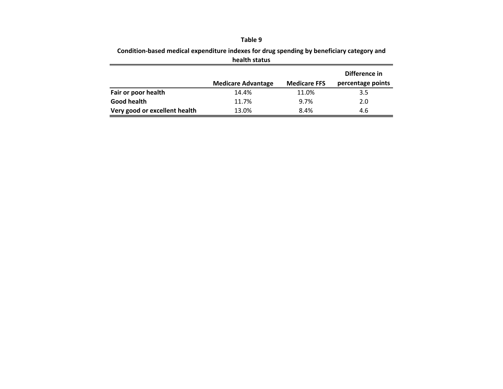#### **Table 9**

| health status             |                     |                   |
|---------------------------|---------------------|-------------------|
|                           |                     | Difference in     |
| <b>Medicare Advantage</b> | <b>Medicare FFS</b> | percentage points |
| 14.4%                     | 11.0%               | 3.5               |
| 11.7%                     | 9.7%                | 2.0               |
| 13.0%                     | 8.4%                | 4.6               |
|                           |                     |                   |

**Condition‐based medical expenditure indexes for drug spending by beneficiary category and**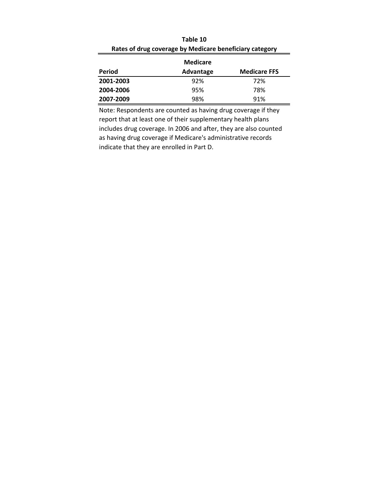|           | <b>Medicare</b> |                     |
|-----------|-----------------|---------------------|
| Period    | Advantage       | <b>Medicare FFS</b> |
| 2001-2003 | 92%             | 72%                 |
| 2004-2006 | 95%             | 78%                 |
| 2007-2009 | 98%             | 91%                 |

| Table 10                                                |
|---------------------------------------------------------|
| Rates of drug coverage by Medicare beneficiary category |

Note: Respondents are counted as having drug coverage if they report that at least one of their supplementary health plans includes drug coverage. In 2006 and after, they are also counted as having drug coverage if Medicare's administrative records indicate that they are enrolled in Part D.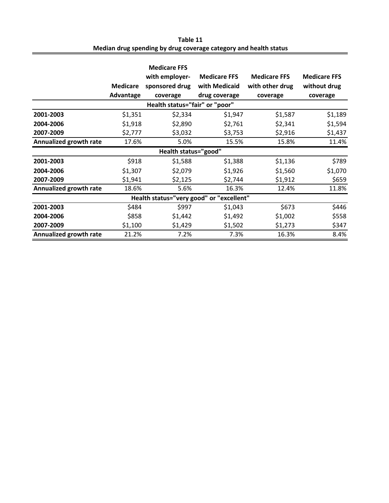| Table 11                                                         |
|------------------------------------------------------------------|
| Median drug spending by drug coverage category and health status |

|                                          |                 | <b>Medicare FFS</b> |                     |                     |                     |  |  |
|------------------------------------------|-----------------|---------------------|---------------------|---------------------|---------------------|--|--|
|                                          |                 | with employer-      | <b>Medicare FFS</b> | <b>Medicare FFS</b> | <b>Medicare FFS</b> |  |  |
|                                          | <b>Medicare</b> | sponsored drug      | with Medicaid       | with other drug     | without drug        |  |  |
|                                          | Advantage       | coverage            | drug coverage       | coverage            | coverage            |  |  |
| Health status="fair" or "poor"           |                 |                     |                     |                     |                     |  |  |
| 2001-2003                                | \$1,351         | \$2,334             | \$1,947             | \$1,587             | \$1,189             |  |  |
| 2004-2006                                | \$1,918         | \$2,890             | \$2,761             | \$2,341             | \$1,594             |  |  |
| 2007-2009                                | \$2,777         | \$3,032             | \$3,753             | \$2,916             | \$1,437             |  |  |
| Annualized growth rate                   | 17.6%           | 5.0%                | 15.5%               | 15.8%               | 11.4%               |  |  |
| Health status="good"                     |                 |                     |                     |                     |                     |  |  |
| 2001-2003                                | \$918           | \$1,588             | \$1,388             | \$1,136             | \$789               |  |  |
| 2004-2006                                | \$1,307         | \$2,079             | \$1,926             | \$1,560             | \$1,070             |  |  |
| 2007-2009                                | \$1,941         | \$2,125             | \$2,744             | \$1,912             | \$659               |  |  |
| Annualized growth rate                   | 18.6%           | 5.6%                | 16.3%               | 12.4%               | 11.8%               |  |  |
| Health status="very good" or "excellent" |                 |                     |                     |                     |                     |  |  |
| 2001-2003                                | \$484           | \$997               | \$1,043             | \$673               | \$446               |  |  |
| 2004-2006                                | \$858           | \$1,442             | \$1,492             | \$1,002             | \$558               |  |  |
| 2007-2009                                | \$1,100         | \$1,429             | \$1,502             | \$1,273             | \$347               |  |  |
| Annualized growth rate                   | 21.2%           | 7.2%                | 7.3%                | 16.3%               | 8.4%                |  |  |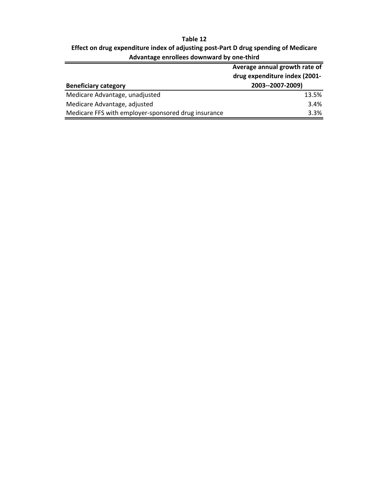# **Table 12 Effect on drug expenditure index of adjusting post‐Part D drug spending of Medicare Advantage enrollees downward by one‐third**

|                                                     | Average annual growth rate of |  |
|-----------------------------------------------------|-------------------------------|--|
|                                                     | drug expenditure index (2001- |  |
| <b>Beneficiary category</b>                         | 2003--2007-2009)              |  |
| Medicare Advantage, unadjusted                      | 13.5%                         |  |
| Medicare Advantage, adjusted                        | 3.4%                          |  |
| Medicare FFS with employer-sponsored drug insurance | 3.3%                          |  |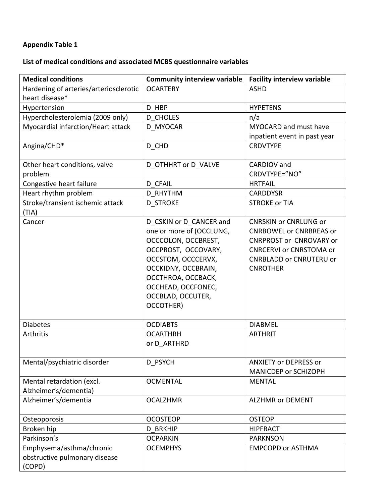# **Appendix Table 1**

# **List of medical conditions and associated MCBS questionnaire variables**

| <b>Medical conditions</b>              | <b>Community interview variable</b> | <b>Facility interview variable</b> |  |
|----------------------------------------|-------------------------------------|------------------------------------|--|
| Hardening of arteries/arteriosclerotic | <b>OCARTERY</b>                     | <b>ASHD</b>                        |  |
| heart disease*                         |                                     |                                    |  |
| Hypertension                           | D HBP                               | <b>HYPETENS</b>                    |  |
| Hypercholesterolemia (2009 only)       | <b>D CHOLES</b>                     | n/a                                |  |
| Myocardial infarction/Heart attack     | D MYOCAR                            | <b>MYOCARD</b> and must have       |  |
|                                        |                                     | inpatient event in past year       |  |
| Angina/CHD*                            | D CHD                               | <b>CRDVTYPE</b>                    |  |
| Other heart conditions, valve          | D OTHHRT or D VALVE                 | CARDIOV and                        |  |
| problem                                |                                     | CRDVTYPE="NO"                      |  |
| Congestive heart failure               | D CFAIL                             | <b>HRTFAIL</b>                     |  |
| Heart rhythm problem                   | <b>D RHYTHM</b>                     | <b>CARDDYSR</b>                    |  |
| Stroke/transient ischemic attack       | <b>D STROKE</b>                     | <b>STROKE or TIA</b>               |  |
| (TIA)                                  |                                     |                                    |  |
| Cancer                                 | D_CSKIN or D_CANCER and             | <b>CNRSKIN or CNRLUNG or</b>       |  |
|                                        | one or more of (OCCLUNG,            | <b>CNRBOWEL or CNRBREAS or</b>     |  |
|                                        | OCCCOLON, OCCBREST,                 | <b>CNRPROST or CNROVARY or</b>     |  |
|                                        | OCCPROST, OCCOVARY,                 | <b>CNRCERVI or CNRSTOMA or</b>     |  |
|                                        | OCCSTOM, OCCCERVX,                  | <b>CNRBLADD or CNRUTERU or</b>     |  |
|                                        | OCCKIDNY, OCCBRAIN,                 | <b>CNROTHER</b>                    |  |
|                                        | OCCTHROA, OCCBACK,                  |                                    |  |
|                                        | OCCHEAD, OCCFONEC,                  |                                    |  |
|                                        | OCCBLAD, OCCUTER,                   |                                    |  |
|                                        | OCCOTHER)                           |                                    |  |
|                                        |                                     |                                    |  |
| <b>Diabetes</b>                        | <b>OCDIABTS</b>                     | <b>DIABMEL</b>                     |  |
| Arthritis                              | <b>OCARTHRH</b>                     | <b>ARTHRIT</b>                     |  |
|                                        | or D ARTHRD                         |                                    |  |
|                                        |                                     |                                    |  |
| Mental/psychiatric disorder            | D PSYCH                             | <b>ANXIETY or DEPRESS or</b>       |  |
|                                        |                                     | MANICDEP or SCHIZOPH               |  |
| Mental retardation (excl.              | <b>OCMENTAL</b>                     | <b>MENTAL</b>                      |  |
| Alzheimer's/dementia)                  |                                     |                                    |  |
| Alzheimer's/dementia                   | <b>OCALZHMR</b>                     | <b>ALZHMR or DEMENT</b>            |  |
| Osteoporosis                           | <b>OCOSTEOP</b>                     | <b>OSTEOP</b>                      |  |
| Broken hip                             | <b>BRKHIP</b><br>D                  | <b>HIPFRACT</b>                    |  |
| Parkinson's                            | <b>OCPARKIN</b>                     | <b>PARKNSON</b>                    |  |
| Emphysema/asthma/chronic               | <b>OCEMPHYS</b>                     | <b>EMPCOPD or ASTHMA</b>           |  |
| obstructive pulmonary disease          |                                     |                                    |  |
| (COPD)                                 |                                     |                                    |  |